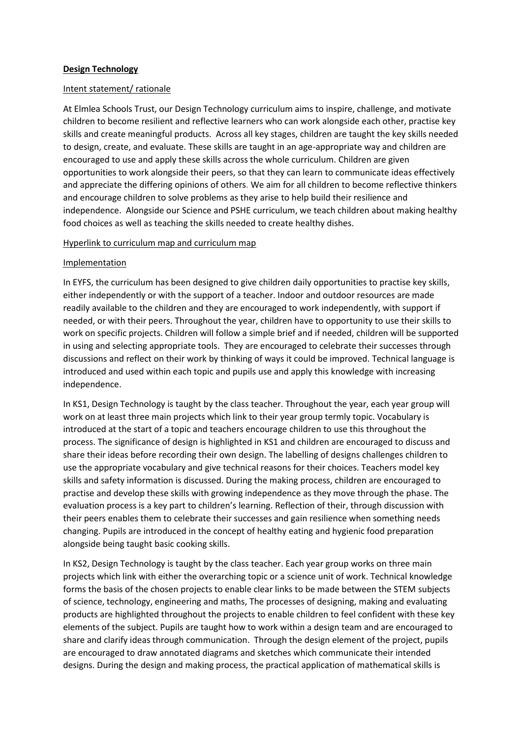## Intent statement/ rationale

At Elmlea Schools Trust, our Design Technology curriculum aims to inspire, challenge, and motivate children to become resilient and reflective learners who can work alongside each other, practise key skills and create meaningful products. Across all key stages, children are taught the key skills needed to design, create, and evaluate. These skills are taught in an age-appropriate way and children are encouraged to use and apply these skills across the whole curriculum. Children are given opportunities to work alongside their peers, so that they can learn to communicate ideas effectively and appreciate the differing opinions of others. We aim for all children to become reflective thinkers and encourage children to solve problems as they arise to help build their resilience and independence. Alongside our Science and PSHE curriculum, we teach children about making healthy food choices as well as teaching the skills needed to create healthy dishes.

## Hyperlink to curriculum map and curriculum map

## Implementation

In EYFS, the curriculum has been designed to give children daily opportunities to practise key skills, either independently or with the support of a teacher. Indoor and outdoor resources are made readily available to the children and they are encouraged to work independently, with support if needed, or with their peers. Throughout the year, children have to opportunity to use their skills to work on specific projects. Children will follow a simple brief and if needed, children will be supported in using and selecting appropriate tools. They are encouraged to celebrate their successes through discussions and reflect on their work by thinking of ways it could be improved. Technical language is introduced and used within each topic and pupils use and apply this knowledge with increasing independence.

In KS1, Design Technology is taught by the class teacher. Throughout the year, each year group will work on at least three main projects which link to their year group termly topic. Vocabulary is introduced at the start of a topic and teachers encourage children to use this throughout the process. The significance of design is highlighted in KS1 and children are encouraged to discuss and share their ideas before recording their own design. The labelling of designs challenges children to use the appropriate vocabulary and give technical reasons for their choices. Teachers model key skills and safety information is discussed. During the making process, children are encouraged to practise and develop these skills with growing independence as they move through the phase. The evaluation process is a key part to children's learning. Reflection of their, through discussion with their peers enables them to celebrate their successes and gain resilience when something needs changing. Pupils are introduced in the concept of healthy eating and hygienic food preparation alongside being taught basic cooking skills.

In KS2, Design Technology is taught by the class teacher. Each year group works on three main projects which link with either the overarching topic or a science unit of work. Technical knowledge forms the basis of the chosen projects to enable clear links to be made between the STEM subjects of science, technology, engineering and maths, The processes of designing, making and evaluating products are highlighted throughout the projects to enable children to feel confident with these key elements of the subject. Pupils are taught how to work within a design team and are encouraged to share and clarify ideas through communication. Through the design element of the project, pupils are encouraged to draw annotated diagrams and sketches which communicate their intended designs. During the design and making process, the practical application of mathematical skills is